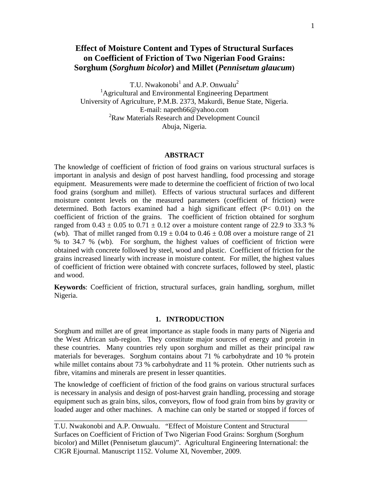# **Effect of Moisture Content and Types of Structural Surfaces on Coefficient of Friction of Two Nigerian Food Grains: Sorghum (***Sorghum bicolor***) and Millet (***Pennisetum glaucum***)**

T.U. Nwakonobi<sup>1</sup> and A.P. Onwualu<sup>2</sup>

<sup>1</sup>Agricultural and Environmental Engineering Department University of Agriculture, P.M.B. 2373, Makurdi, Benue State, Nigeria. E-mail: napeth66@yahoo.com <sup>2</sup>Raw Materials Research and Development Council Abuja, Nigeria.

#### **ABSTRACT**

The knowledge of coefficient of friction of food grains on various structural surfaces is important in analysis and design of post harvest handling, food processing and storage equipment. Measurements were made to determine the coefficient of friction of two local food grains (sorghum and millet). Effects of various structural surfaces and different moisture content levels on the measured parameters (coefficient of friction) were determined. Both factors examined had a high significant effect (P< 0.01) on the coefficient of friction of the grains. The coefficient of friction obtained for sorghum ranged from  $0.43 \pm 0.05$  to  $0.71 \pm 0.12$  over a moisture content range of 22.9 to 33.3 % (wb). That of millet ranged from  $0.19 \pm 0.04$  to  $0.46 \pm 0.08$  over a moisture range of 21 % to 34.7 % (wb). For sorghum, the highest values of coefficient of friction were obtained with concrete followed by steel, wood and plastic. Coefficient of friction for the grains increased linearly with increase in moisture content. For millet, the highest values of coefficient of friction were obtained with concrete surfaces, followed by steel, plastic and wood.

**Keywords**: Coefficient of friction, structural surfaces, grain handling, sorghum, millet Nigeria.

## **1. INTRODUCTION**

Sorghum and millet are of great importance as staple foods in many parts of Nigeria and the West African sub-region. They constitute major sources of energy and protein in these countries. Many countries rely upon sorghum and millet as their principal raw materials for beverages. Sorghum contains about 71 % carbohydrate and 10 % protein while millet contains about 73 % carbohydrate and 11 % protein. Other nutrients such as fibre, vitamins and minerals are present in lesser quantities.

The knowledge of coefficient of friction of the food grains on various structural surfaces is necessary in analysis and design of post-harvest grain handling, processing and storage equipment such as grain bins, silos, conveyors, flow of food grain from bins by gravity or loaded auger and other machines. A machine can only be started or stopped if forces of

T.U. Nwakonobi and A.P. Onwualu. "Effect of Moisture Content and Structural Surfaces on Coefficient of Friction of Two Nigerian Food Grains: Sorghum (Sorghum bicolor) and Millet (Pennisetum glaucum)". Agricultural Engineering International: the CIGR Ejournal. Manuscript 1152. Volume XI, November, 2009.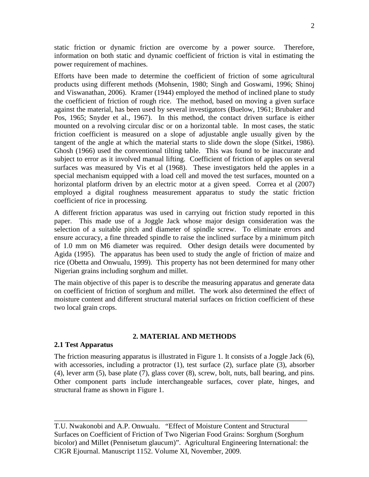static friction or dynamic friction are overcome by a power source. Therefore, information on both static and dynamic coefficient of friction is vital in estimating the power requirement of machines.

Efforts have been made to determine the coefficient of friction of some agricultural products using different methods (Mohsenin, 1980; Singh and Goswami, 1996; Shinoj and Viswanathan, 2006). Kramer (1944) employed the method of inclined plane to study the coefficient of friction of rough rice. The method, based on moving a given surface against the material, has been used by several investigators (Buelow, 1961; Brubaker and Pos, 1965; Snyder et al., 1967). In this method, the contact driven surface is either mounted on a revolving circular disc or on a horizontal table. In most cases, the static friction coefficient is measured on a slope of adjustable angle usually given by the tangent of the angle at which the material starts to slide down the slope (Sitkei, 1986). Ghosh (1966) used the conventional tilting table. This was found to be inaccurate and subject to error as it involved manual lifting. Coefficient of friction of apples on several surfaces was measured by Vis et al (1968). These investigators held the apples in a special mechanism equipped with a load cell and moved the test surfaces, mounted on a horizontal platform driven by an electric motor at a given speed. Correa et al (2007) employed a digital roughness measurement apparatus to study the static friction coefficient of rice in processing.

A different friction apparatus was used in carrying out friction study reported in this paper. This made use of a Joggle Jack whose major design consideration was the selection of a suitable pitch and diameter of spindle screw. To eliminate errors and ensure accuracy, a fine threaded spindle to raise the inclined surface by a minimum pitch of 1.0 mm on M6 diameter was required. Other design details were documented by Agida (1995). The apparatus has been used to study the angle of friction of maize and rice (Obetta and Onwualu, 1999). This property has not been determined for many other Nigerian grains including sorghum and millet.

The main objective of this paper is to describe the measuring apparatus and generate data on coefficient of friction of sorghum and millet. The work also determined the effect of moisture content and different structural material surfaces on friction coefficient of these two local grain crops.

## **2. MATERIAL AND METHODS**

#### **2.1 Test Apparatus**

The friction measuring apparatus is illustrated in Figure 1. It consists of a Joggle Jack (6), with accessories, including a protractor (1), test surface (2), surface plate (3), absorber (4), lever arm (5), base plate (7), glass cover (8), screw, bolt, nuts, ball bearing, and pins. Other component parts include interchangeable surfaces, cover plate, hinges, and structural frame as shown in Figure 1.

T.U. Nwakonobi and A.P. Onwualu. "Effect of Moisture Content and Structural Surfaces on Coefficient of Friction of Two Nigerian Food Grains: Sorghum (Sorghum bicolor) and Millet (Pennisetum glaucum)". Agricultural Engineering International: the CIGR Ejournal. Manuscript 1152. Volume XI, November, 2009.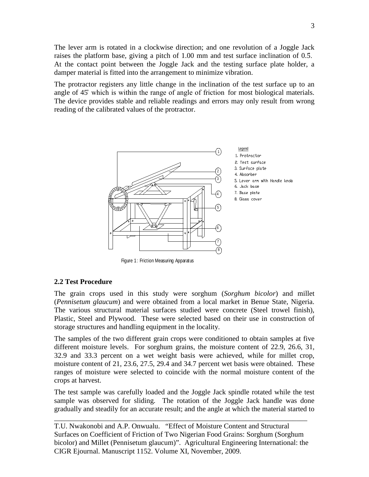The lever arm is rotated in a clockwise direction; and one revolution of a Joggle Jack raises the platform base, giving a pitch of  $1.00 \text{ mm}$  and test surface inclination of  $0.5$ . At the contact point between the Joggle Jack and the testing surface plate holder, a damper material is fitted into the arrangement to minimize vibration.

The protractor registers any little change in the inclination of the test surface up to an angle of 45˚ which is within the range of angle of friction for most biological materials. The device provides stable and reliable readings and errors may only result from wrong reading of the calibrated values of the protractor.



Figure 1: Friction Measuring Apparatus

# **2.2 Test Procedure**

The grain crops used in this study were sorghum (*Sorghum bicolor*) and millet (*Pennisetum glaucum*) and were obtained from a local market in Benue State, Nigeria. The various structural material surfaces studied were concrete (Steel trowel finish), Plastic, Steel and Plywood. These were selected based on their use in construction of storage structures and handling equipment in the locality.

The samples of the two different grain crops were conditioned to obtain samples at five different moisture levels. For sorghum grains, the moisture content of 22.9, 26.6, 31, 32.9 and 33.3 percent on a wet weight basis were achieved, while for millet crop, moisture content of 21, 23.6, 27.5, 29.4 and 34.7 percent wet basis were obtained. These ranges of moisture were selected to coincide with the normal moisture content of the crops at harvest.

The test sample was carefully loaded and the Joggle Jack spindle rotated while the test sample was observed for sliding. The rotation of the Joggle Jack handle was done gradually and steadily for an accurate result; and the angle at which the material started to

T.U. Nwakonobi and A.P. Onwualu. "Effect of Moisture Content and Structural Surfaces on Coefficient of Friction of Two Nigerian Food Grains: Sorghum (Sorghum bicolor) and Millet (Pennisetum glaucum)". Agricultural Engineering International: the CIGR Ejournal. Manuscript 1152. Volume XI, November, 2009.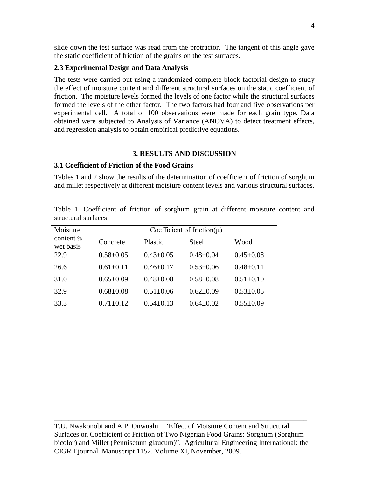slide down the test surface was read from the protractor. The tangent of this angle gave the static coefficient of friction of the grains on the test surfaces.

#### **2.3 Experimental Design and Data Analysis**

The tests were carried out using a randomized complete block factorial design to study the effect of moisture content and different structural surfaces on the static coefficient of friction. The moisture levels formed the levels of one factor while the structural surfaces formed the levels of the other factor. The two factors had four and five observations per experimental cell. A total of 100 observations were made for each grain type. Data obtained were subjected to Analysis of Variance (ANOVA) to detect treatment effects, and regression analysis to obtain empirical predictive equations.

## **3. RESULTS AND DISCUSSION**

## **3.1 Coefficient of Friction of the Food Grains**

Tables 1 and 2 show the results of the determination of coefficient of friction of sorghum and millet respectively at different moisture content levels and various structural surfaces.

| Moisture<br>content %<br>wet basis | Coefficient of friction( $\mu$ ) |                 |                 |                 |
|------------------------------------|----------------------------------|-----------------|-----------------|-----------------|
|                                    | Concrete                         | Plastic         | <b>Steel</b>    | Wood            |
| 22.9                               | $0.58 \pm 0.05$                  | $0.43 \pm 0.05$ | $0.48 \pm 0.04$ | $0.45 \pm 0.08$ |
| 26.6                               | $0.61 \pm 0.11$                  | $0.46 \pm 0.17$ | $0.53 \pm 0.06$ | $0.48 \pm 0.11$ |
| 31.0                               | $0.65+0.09$                      | $0.48 + 0.08$   | $0.58 \pm 0.08$ | $0.51 \pm 0.10$ |
| 32.9                               | $0.68 \pm 0.08$                  | $0.51 \pm 0.06$ | $0.62 \pm 0.09$ | $0.53 \pm 0.05$ |
| 33.3                               | $0.71 + 0.12$                    | $0.54 + 0.13$   | $0.64 + 0.02$   | $0.55 \pm 0.09$ |

Table 1. Coefficient of friction of sorghum grain at different moisture content and structural surfaces

T.U. Nwakonobi and A.P. Onwualu. "Effect of Moisture Content and Structural Surfaces on Coefficient of Friction of Two Nigerian Food Grains: Sorghum (Sorghum bicolor) and Millet (Pennisetum glaucum)". Agricultural Engineering International: the CIGR Ejournal. Manuscript 1152. Volume XI, November, 2009.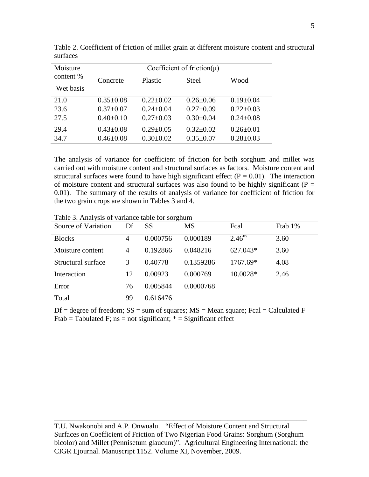| Moisture               | Coefficient of friction( $\mu$ ) |                 |                 |                 |
|------------------------|----------------------------------|-----------------|-----------------|-----------------|
| content %<br>Wet basis | Concrete                         | Plastic         | <b>Steel</b>    | Wood            |
| 21.0                   | $0.35 \pm 0.08$                  | $0.22 \pm 0.02$ | $0.26 \pm 0.06$ | $0.19 \pm 0.04$ |
| 23.6                   | $0.37 \pm 0.07$                  | $0.24 \pm 0.04$ | $0.27 \pm 0.09$ | $0.22 \pm 0.03$ |
|                        | $0.40 \pm 0.10$                  |                 |                 |                 |
| 27.5                   |                                  | $0.27 \pm 0.03$ | $0.30 \pm 0.04$ | $0.24 \pm 0.08$ |
| 29.4                   | $0.43 \pm 0.08$                  | $0.29 \pm 0.05$ | $0.32 \pm 0.02$ | $0.26 \pm 0.01$ |
| 34.7                   | $0.46 \pm 0.08$                  | $0.30 \pm 0.02$ | $0.35 \pm 0.07$ | $0.28 \pm 0.03$ |

Table 2. Coefficient of friction of millet grain at different moisture content and structural surfaces

The analysis of variance for coefficient of friction for both sorghum and millet was carried out with moisture content and structural surfaces as factors. Moisture content and structural surfaces were found to have high significant effect ( $P = 0.01$ ). The interaction of moisture content and structural surfaces was also found to be highly significant ( $P =$ 0.01). The summary of the results of analysis of variance for coefficient of friction for the two grain crops are shown in Tables 3 and 4.

Table 3. Analysis of variance table for sorghum

| Source of Variation | Df | SS       | MS        | Fcal               | Ftab 1% |
|---------------------|----|----------|-----------|--------------------|---------|
| <b>Blocks</b>       | 4  | 0.000756 | 0.000189  | 2.46 <sup>ns</sup> | 3.60    |
| Moisture content    | 4  | 0.192866 | 0.048216  | 627.043*           | 3.60    |
| Structural surface  | 3  | 0.40778  | 0.1359286 | 1767.69*           | 4.08    |
| Interaction         | 12 | 0.00923  | 0.000769  | 10.0028*           | 2.46    |
| Error               | 76 | 0.005844 | 0.0000768 |                    |         |
| Total               | 99 | 0.616476 |           |                    |         |

 $Df = degree of freedom$ ;  $SS = sum of squares$ ;  $MS = Mean square$ ;  $Fcal = Calculated F$ Ftab = Tabulated F; ns = not significant;  $* =$  Significant effect

T.U. Nwakonobi and A.P. Onwualu. "Effect of Moisture Content and Structural Surfaces on Coefficient of Friction of Two Nigerian Food Grains: Sorghum (Sorghum bicolor) and Millet (Pennisetum glaucum)". Agricultural Engineering International: the CIGR Ejournal. Manuscript 1152. Volume XI, November, 2009.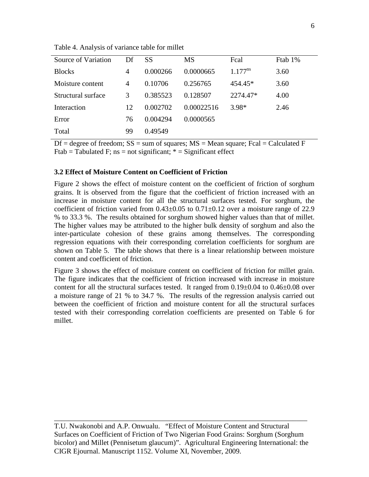| Source of Variation | Df | SS       | <b>MS</b>  | Fcal         | Ftab 1% |
|---------------------|----|----------|------------|--------------|---------|
| <b>Blocks</b>       | 4  | 0.000266 | 0.0000665  | $1.177^{ns}$ | 3.60    |
| Moisture content    | 4  | 0.10706  | 0.256765   | $454.45*$    | 3.60    |
| Structural surface  | 3  | 0.385523 | 0.128507   | 2274.47*     | 4.00    |
| Interaction         | 12 | 0.002702 | 0.00022516 | $3.98*$      | 2.46    |
| Error               | 76 | 0.004294 | 0.0000565  |              |         |
| Total               | 99 | 0.49549  |            |              |         |

Table 4. Analysis of variance table for millet

 $Df = degree of freedom$ ;  $SS = sum of squares$ ;  $MS = Mean square$ ;  $Fcal = Calculated F$ Ftab = Tabulated F;  $ns = not significant; * = Significant effect$ 

# **3.2 Effect of Moisture Content on Coefficient of Friction**

Figure 2 shows the effect of moisture content on the coefficient of friction of sorghum grains. It is observed from the figure that the coefficient of friction increased with an increase in moisture content for all the structural surfaces tested. For sorghum, the coefficient of friction varied from  $0.43\pm0.05$  to  $0.71\pm0.12$  over a moisture range of 22.9 % to 33.3 %. The results obtained for sorghum showed higher values than that of millet. The higher values may be attributed to the higher bulk density of sorghum and also the inter-particulate cohesion of these grains among themselves. The corresponding regression equations with their corresponding correlation coefficients for sorghum are shown on Table 5. The table shows that there is a linear relationship between moisture content and coefficient of friction.

Figure 3 shows the effect of moisture content on coefficient of friction for millet grain. The figure indicates that the coefficient of friction increased with increase in moisture content for all the structural surfaces tested. It ranged from  $0.19\pm0.04$  to  $0.46\pm0.08$  over a moisture range of 21 % to 34.7 %. The results of the regression analysis carried out between the coefficient of friction and moisture content for all the structural surfaces tested with their corresponding correlation coefficients are presented on Table 6 for millet.

T.U. Nwakonobi and A.P. Onwualu. "Effect of Moisture Content and Structural Surfaces on Coefficient of Friction of Two Nigerian Food Grains: Sorghum (Sorghum bicolor) and Millet (Pennisetum glaucum)". Agricultural Engineering International: the CIGR Ejournal. Manuscript 1152. Volume XI, November, 2009.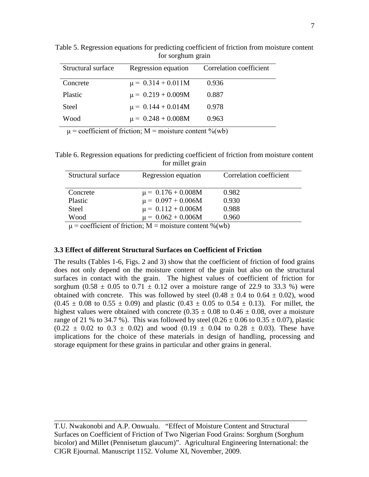| Structural surface | Regression equation    | Correlation coefficient |
|--------------------|------------------------|-------------------------|
| Concrete           | $\mu = 0.314 + 0.011M$ | 0.936                   |
| Plastic            | $\mu = 0.219 + 0.009M$ | 0.887                   |
| <b>Steel</b>       | $\mu = 0.144 + 0.014M$ | 0.978                   |
| Wood               | $\mu = 0.248 + 0.008M$ | 0.963                   |

Table 5. Regression equations for predicting coefficient of friction from moisture content for sorghum grain

 $\mu$  = coefficient of friction; M = moisture content %(wb)

Table 6. Regression equations for predicting coefficient of friction from moisture content for millet grain

| Structural surface                                                                    | Regression equation                                                                      | Correlation coefficient |
|---------------------------------------------------------------------------------------|------------------------------------------------------------------------------------------|-------------------------|
|                                                                                       |                                                                                          |                         |
| Concrete                                                                              | $\mu = 0.176 + 0.008M$                                                                   | 0.982                   |
| Plastic                                                                               | $\mu = 0.097 + 0.006M$                                                                   | 0.930                   |
| <b>Steel</b>                                                                          | $\mu = 0.112 + 0.006M$                                                                   | 0.988                   |
| Wood                                                                                  | $\mu = 0.062 + 0.006M$                                                                   | 0.960                   |
| $\alpha$ $\alpha$ $\beta$ $\alpha$ $\beta$ $\beta$ $\gamma$ $\alpha$ $\beta$ $\gamma$ | $\bullet$ . The contract of the contract of $\bullet$ is a set of $\bullet$ in $\bullet$ |                         |

 $\mu$  = coefficient of friction; M = moisture content %(wb)

# **3.3 Effect of different Structural Surfaces on Coefficient of Friction**

The results (Tables 1-6, Figs. 2 and 3) show that the coefficient of friction of food grains does not only depend on the moisture content of the grain but also on the structural surfaces in contact with the grain. The highest values of coefficient of friction for sorghum (0.58  $\pm$  0.05 to 0.71  $\pm$  0.12 over a moisture range of 22.9 to 33.3 %) were obtained with concrete. This was followed by steel  $(0.48 \pm 0.4$  to  $0.64 \pm 0.02)$ , wood  $(0.45 \pm 0.08$  to  $0.55 \pm 0.09)$  and plastic  $(0.43 \pm 0.05$  to  $0.54 \pm 0.13)$ . For millet, the highest values were obtained with concrete (0.35  $\pm$  0.08 to 0.46  $\pm$  0.08, over a moisture range of 21 % to 34.7 %). This was followed by steel  $(0.26 \pm 0.06 \text{ to } 0.35 \pm 0.07)$ , plastic  $(0.22 \pm 0.02 \text{ to } 0.3 \pm 0.02)$  and wood  $(0.19 \pm 0.04 \text{ to } 0.28 \pm 0.03)$ . These have implications for the choice of these materials in design of handling, processing and storage equipment for these grains in particular and other grains in general.

T.U. Nwakonobi and A.P. Onwualu. "Effect of Moisture Content and Structural Surfaces on Coefficient of Friction of Two Nigerian Food Grains: Sorghum (Sorghum bicolor) and Millet (Pennisetum glaucum)". Agricultural Engineering International: the CIGR Ejournal. Manuscript 1152. Volume XI, November, 2009.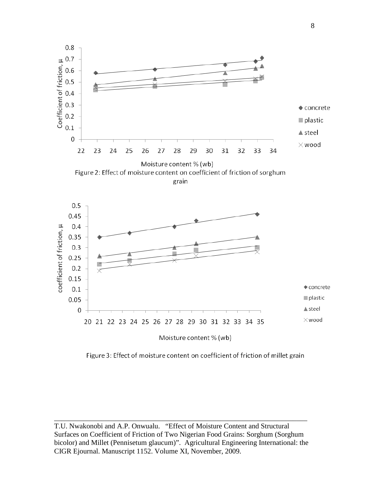



Figure 3: Effect of moisture content on coefficient of friction of millet grain

T.U. Nwakonobi and A.P. Onwualu. "Effect of Moisture Content and Structural Surfaces on Coefficient of Friction of Two Nigerian Food Grains: Sorghum (Sorghum bicolor) and Millet (Pennisetum glaucum)". Agricultural Engineering International: the CIGR Ejournal. Manuscript 1152. Volume XI, November, 2009.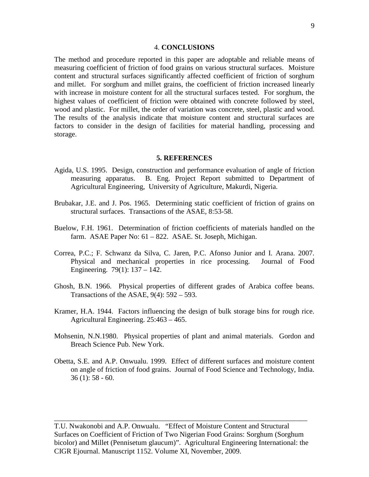#### 4. **CONCLUSIONS**

The method and procedure reported in this paper are adoptable and reliable means of measuring coefficient of friction of food grains on various structural surfaces. Moisture content and structural surfaces significantly affected coefficient of friction of sorghum and millet. For sorghum and millet grains, the coefficient of friction increased linearly with increase in moisture content for all the structural surfaces tested. For sorghum, the highest values of coefficient of friction were obtained with concrete followed by steel, wood and plastic. For millet, the order of variation was concrete, steel, plastic and wood. The results of the analysis indicate that moisture content and structural surfaces are factors to consider in the design of facilities for material handling, processing and storage.

#### **5. REFERENCES**

- Agida, U.S. 1995. Design, construction and performance evaluation of angle of friction measuring apparatus. B. Eng. Project Report submitted to Department of Agricultural Engineering, University of Agriculture, Makurdi, Nigeria.
- Brubakar, J.E. and J. Pos. 1965. Determining static coefficient of friction of grains on structural surfaces. Transactions of the ASAE, 8:53-58.
- Buelow, F.H. 1961. Determination of friction coefficients of materials handled on the farm. ASAE Paper No: 61 – 822. ASAE. St. Joseph, Michigan.
- Correa, P.C.; F. Schwanz da Silva, C. Jaren, P.C. Afonso Junior and I. Arana. 2007. Physical and mechanical properties in rice processing. Journal of Food Engineering. 79(1): 137 – 142.
- Ghosh, B.N. 1966. Physical properties of different grades of Arabica coffee beans. Transactions of the ASAE,  $9(4)$ : 592 – 593.
- Kramer, H.A. 1944. Factors influencing the design of bulk storage bins for rough rice. Agricultural Engineering. 25:463 – 465.
- Mohsenin, N.N.1980. Physical properties of plant and animal materials. Gordon and Breach Science Pub. New York.
- Obetta, S.E. and A.P. Onwualu. 1999. Effect of different surfaces and moisture content on angle of friction of food grains. Journal of Food Science and Technology, India. 36 (1): 58 - 60.

T.U. Nwakonobi and A.P. Onwualu. "Effect of Moisture Content and Structural Surfaces on Coefficient of Friction of Two Nigerian Food Grains: Sorghum (Sorghum bicolor) and Millet (Pennisetum glaucum)". Agricultural Engineering International: the CIGR Ejournal. Manuscript 1152. Volume XI, November, 2009.